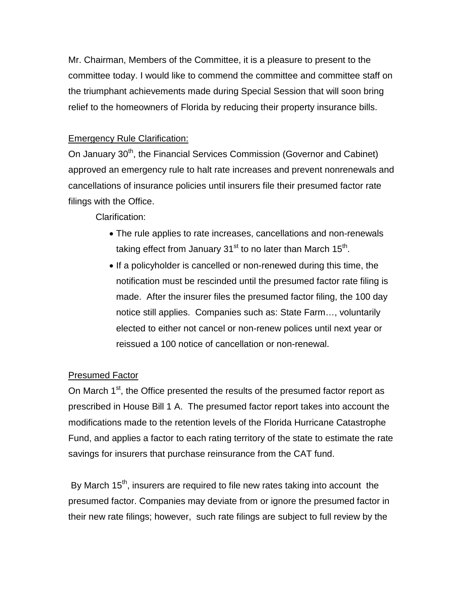Mr. Chairman, Members of the Committee, it is a pleasure to present to the committee today. I would like to commend the committee and committee staff on the triumphant achievements made during Special Session that will soon bring relief to the homeowners of Florida by reducing their property insurance bills.

## Emergency Rule Clarification:

On January 30<sup>th</sup>, the Financial Services Commission (Governor and Cabinet) approved an emergency rule to halt rate increases and prevent nonrenewals and cancellations of insurance policies until insurers file their presumed factor rate filings with the Office.

Clarification:

- The rule applies to rate increases, cancellations and non-renewals taking effect from January  $31<sup>st</sup>$  to no later than March  $15<sup>th</sup>$ .
- If a policyholder is cancelled or non-renewed during this time, the notification must be rescinded until the presumed factor rate filing is made. After the insurer files the presumed factor filing, the 100 day notice still applies. Companies such as: State Farm…, voluntarily elected to either not cancel or non-renew polices until next year or reissued a 100 notice of cancellation or non-renewal.

## Presumed Factor

On March 1<sup>st</sup>, the Office presented the results of the presumed factor report as prescribed in House Bill 1 A. The presumed factor report takes into account the modifications made to the retention levels of the Florida Hurricane Catastrophe Fund, and applies a factor to each rating territory of the state to estimate the rate savings for insurers that purchase reinsurance from the CAT fund.

By March  $15<sup>th</sup>$ , insurers are required to file new rates taking into account the presumed factor. Companies may deviate from or ignore the presumed factor in their new rate filings; however, such rate filings are subject to full review by the